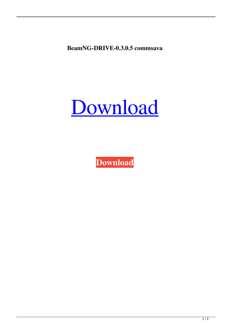**BeamNG-DRIVE-0.3.0.5 commsava**



**[Download](http://evacdir.com/cdrom.QmVhbU5HLURSSVZFLTAuMy4wLjUQmV/cheaters.extract.talons/monopole.ZG93bmxvYWR8UEM0ZVRCeWZId3hOalV5TkRZek1EVXdmSHd5TlRjMGZId29UU2tnY21WaFpDMWliRzluSUZ0R1lYTjBJRWRGVGww)**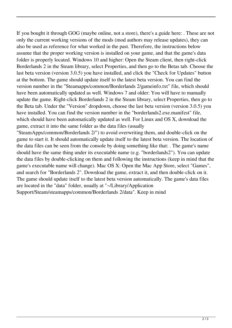If you bought it through GOG (maybe online, not a store), there's a guide here: . These are not only the current working versions of the mods (mod authors may release updates), they can also be used as reference for what worked in the past. Therefore, the instructions below assume that the proper working version is installed on your game, and that the game's data folder is properly located. Windows 10 and higher: Open the Steam client, then right-click Borderlands 2 in the Steam library, select Properties, and then go to the Betas tab. Choose the last beta version (version 3.0.5) you have installed, and click the "Check for Updates" button at the bottom. The game should update itself to the latest beta version. You can find the version number in the "Steamapps/common/Borderlands 2/gameinfo.txt" file, which should have been automatically updated as well. Windows 7 and older: You will have to manually update the game. Right-click Borderlands 2 in the Steam library, select Properties, then go to the Beta tab. Under the "Version" dropdown, choose the last beta version (version 3.0.5) you have installed. You can find the version number in the "borderlands2.exe.manifest" file, which should have been automatically updated as well. For Linux and OS X, download the game, extract it into the same folder as the data files (usually

"SteamApps/common/Borderlands 2/") to avoid overwriting them, and double-click on the game to start it. It should automatically update itself to the latest beta version. The location of the data files can be seen from the console by doing something like that: . The game's name should have the same thing under its executable name (e.g. "borderlands2"). You can update the data files by double-clicking on them and following the instructions (keep in mind that the game's executable name will change). Mac OS X: Open the Mac App Store, select "Games", and search for "Borderlands 2". Download the game, extract it, and then double-click on it. The game should update itself to the latest beta version automatically. The game's data files are located in the "data" folder, usually at "~/Library/Application Support/Steam/steamapps/common/Borderlands 2/data". Keep in mind